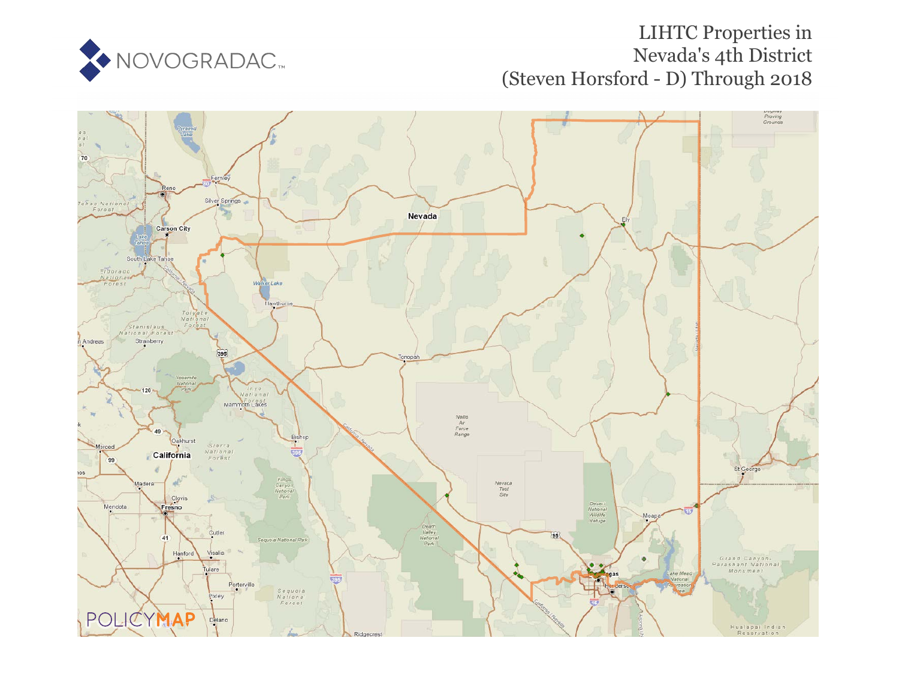

# **LIHTC Properties in** Nevada's 4th District (Steven Horsford - D) Through 2018

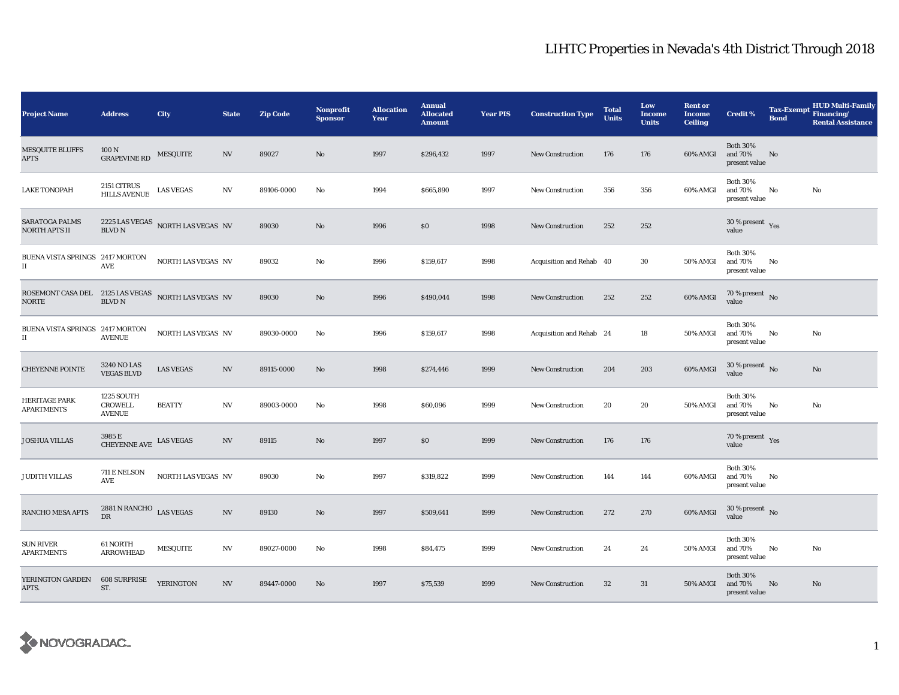| <b>Project Name</b>                                                 | <b>Address</b>                                | City                                                 | <b>State</b>             | <b>Zip Code</b> | Nonprofit<br><b>Sponsor</b> | <b>Allocation</b><br>Year | <b>Annual</b><br><b>Allocated</b><br><b>Amount</b> | <b>Year PIS</b> | <b>Construction Type</b> | <b>Total</b><br><b>Units</b> | Low<br><b>Income</b><br><b>Units</b> | <b>Rent or</b><br><b>Income</b><br><b>Ceiling</b> | <b>Credit %</b>                             | <b>Tax-Exempt</b><br><b>Bond</b> | <b>HUD Multi-Family</b><br>Financing/<br><b>Rental Assistance</b> |
|---------------------------------------------------------------------|-----------------------------------------------|------------------------------------------------------|--------------------------|-----------------|-----------------------------|---------------------------|----------------------------------------------------|-----------------|--------------------------|------------------------------|--------------------------------------|---------------------------------------------------|---------------------------------------------|----------------------------------|-------------------------------------------------------------------|
| <b>MESQUITE BLUFFS</b><br><b>APTS</b>                               | 100 N<br><b>GRAPEVINE RD</b>                  | MESQUITE                                             | NV                       | 89027           | $\mathbf{No}$               | 1997                      | \$296,432                                          | 1997            | New Construction         | 176                          | 176                                  | 60% AMGI                                          | <b>Both 30%</b><br>and 70%<br>present value | No                               |                                                                   |
| <b>LAKE TONOPAH</b>                                                 | 2151 CITRUS<br>HILLS AVENUE LAS VEGAS         |                                                      | NV                       | 89106-0000      | No                          | 1994                      | \$665,890                                          | 1997            | <b>New Construction</b>  | 356                          | 356                                  | 60% AMGI                                          | <b>Both 30%</b><br>and 70%<br>present value | No                               | No                                                                |
| SARATOGA PALMS<br>NORTH APTS II                                     |                                               | $2225$ LAS VEGAS $\,$ NORTH LAS VEGAS $\,$ NV BLVD N |                          | 89030           | No                          | 1996                      | \$0\$                                              | 1998            | <b>New Construction</b>  | 252                          | 252                                  |                                                   | 30 % present $\gamma_{\rm e s}$<br>value    |                                  |                                                                   |
| BUENA VISTA SPRINGS 2417 MORTON<br>$_{\rm II}$                      | AVE                                           | <b>NORTH LAS VEGAS NV</b>                            |                          | 89032           | No                          | 1996                      | \$159,617                                          | 1998            | Acquisition and Rehab 40 |                              | 30                                   | 50% AMGI                                          | <b>Both 30%</b><br>and 70%<br>present value | No                               |                                                                   |
| ROSEMONT CASA DEL 2125 LAS VEGAS NORTH LAS VEGAS NV<br><b>NORTE</b> | <b>BLVD N</b>                                 |                                                      |                          | 89030           | No                          | 1996                      | \$490,044                                          | 1998            | <b>New Construction</b>  | 252                          | 252                                  | 60% AMGI                                          | 70 % present $\,$ No $\,$<br>value          |                                  |                                                                   |
| BUENA VISTA SPRINGS 2417 MORTON<br>$\rm II$                         | <b>AVENUE</b>                                 | NORTH LAS VEGAS NV                                   |                          | 89030-0000      | No                          | 1996                      | \$159,617                                          | 1998            | Acquisition and Rehab 24 |                              | 18                                   | 50% AMGI                                          | <b>Both 30%</b><br>and 70%<br>present value | No                               | No                                                                |
| <b>CHEYENNE POINTE</b>                                              | 3240 NO LAS<br><b>VEGAS BLVD</b>              | <b>LAS VEGAS</b>                                     | N V                      | 89115-0000      | No                          | 1998                      | \$274,446                                          | 1999            | <b>New Construction</b>  | 204                          | 203                                  | 60% AMGI                                          | $30$ % present $\,$ No $\,$<br>value        |                                  | No                                                                |
| <b>HERITAGE PARK</b><br><b>APARTMENTS</b>                           | 1225 SOUTH<br><b>CROWELL</b><br><b>AVENUE</b> | <b>BEATTY</b>                                        | $_{\mathrm{NV}}$         | 89003-0000      | No                          | 1998                      | \$60,096                                           | 1999            | <b>New Construction</b>  | 20                           | 20                                   | 50% AMGI                                          | <b>Both 30%</b><br>and 70%<br>present value | No                               | No                                                                |
| <b>JOSHUA VILLAS</b>                                                | 3985 E<br>CHEYENNE AVE LAS VEGAS              |                                                      | $\ensuremath{\text{NV}}$ | 89115           | No                          | 1997                      | \$0                                                | 1999            | <b>New Construction</b>  | 176                          | 176                                  |                                                   | 70 % present $\gamma_{\rm e s}$<br>value    |                                  |                                                                   |
| <b>JUDITH VILLAS</b>                                                | 711 E NELSON<br>AVE                           | NORTH LAS VEGAS NV                                   |                          | 89030           | No                          | 1997                      | \$319,822                                          | 1999            | <b>New Construction</b>  | 144                          | 144                                  | 60% AMGI                                          | <b>Both 30%</b><br>and 70%<br>present value | No                               |                                                                   |
| <b>RANCHO MESA APTS</b>                                             | 2881 N RANCHO LAS VEGAS<br><b>DR</b>          |                                                      | N <sub>V</sub>           | 89130           | No                          | 1997                      | \$509,641                                          | 1999            | <b>New Construction</b>  | 272                          | 270                                  | 60% AMGI                                          | $30$ % present $\,$ No $\,$<br>value        |                                  |                                                                   |
| <b>SUN RIVER</b><br><b>APARTMENTS</b>                               | 61 NORTH<br><b>ARROWHEAD</b>                  | <b>MESQUITE</b>                                      | NV                       | 89027-0000      | No                          | 1998                      | \$84,475                                           | 1999            | <b>New Construction</b>  | 24                           | 24                                   | 50% AMGI                                          | <b>Both 30%</b><br>and 70%<br>present value | No                               | No                                                                |
| YERINGTON GARDEN<br>APTS.                                           | <b>608 SURPRISE</b><br>ST.                    | YERINGTON                                            | NV                       | 89447-0000      | No                          | 1997                      | \$75,539                                           | 1999            | <b>New Construction</b>  | 32                           | 31                                   | 50% AMGI                                          | <b>Both 30%</b><br>and 70%<br>present value | No                               | No.                                                               |

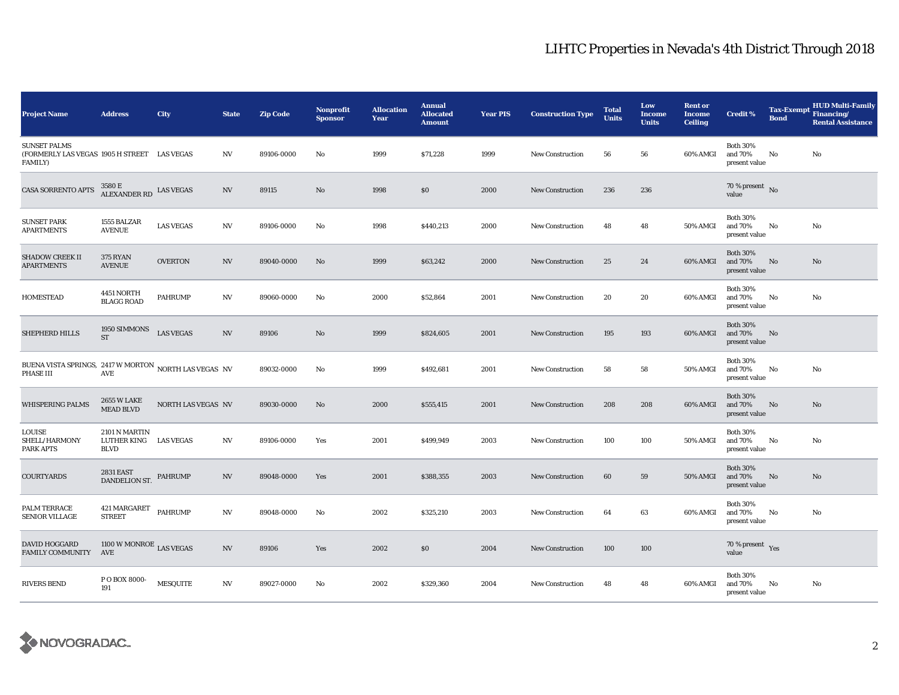| <b>Project Name</b>                                                                  | <b>Address</b>                                        | City               | <b>State</b>             | <b>Zip Code</b> | Nonprofit<br><b>Sponsor</b> | <b>Allocation</b><br>Year | <b>Annual</b><br><b>Allocated</b><br><b>Amount</b> | <b>Year PIS</b> | <b>Construction Type</b> | <b>Total</b><br><b>Units</b> | Low<br><b>Income</b><br><b>Units</b> | <b>Rent or</b><br><b>Income</b><br><b>Ceiling</b> | <b>Credit %</b>                             | <b>Bond</b> | <b>HUD Multi-Family</b><br>Tax-Exempt Financing/<br><b>Rental Assistance</b> |
|--------------------------------------------------------------------------------------|-------------------------------------------------------|--------------------|--------------------------|-----------------|-----------------------------|---------------------------|----------------------------------------------------|-----------------|--------------------------|------------------------------|--------------------------------------|---------------------------------------------------|---------------------------------------------|-------------|------------------------------------------------------------------------------|
| <b>SUNSET PALMS</b><br>(FORMERLY LAS VEGAS 1905 H STREET LAS VEGAS<br><b>FAMILY)</b> |                                                       |                    | NV                       | 89106-0000      | No                          | 1999                      | \$71,228                                           | 1999            | <b>New Construction</b>  | 56                           | 56                                   | 60% AMGI                                          | <b>Both 30%</b><br>and 70%<br>present value | No          | No                                                                           |
| <b>CASA SORRENTO APTS</b>                                                            | $3580\,\mathrm{E}$ ALEXANDER RD $\,$ LAS VEGAS        |                    | N <sub>V</sub>           | 89115           | No                          | 1998                      | \$0                                                | 2000            | <b>New Construction</b>  | 236                          | 236                                  |                                                   | 70 % present $\bar{N}$ o<br>value           |             |                                                                              |
| <b>SUNSET PARK</b><br><b>APARTMENTS</b>                                              | 1555 BALZAR<br><b>AVENUE</b>                          | <b>LAS VEGAS</b>   | NV                       | 89106-0000      | No                          | 1998                      | \$440,213                                          | 2000            | <b>New Construction</b>  | 48                           | 48                                   | <b>50% AMGI</b>                                   | <b>Both 30%</b><br>and 70%<br>present value | No          | No                                                                           |
| <b>SHADOW CREEK II</b><br><b>APARTMENTS</b>                                          | <b>375 RYAN</b><br><b>AVENUE</b>                      | <b>OVERTON</b>     | NV                       | 89040-0000      | No                          | 1999                      | \$63,242                                           | 2000            | <b>New Construction</b>  | 25                           | 24                                   | 60% AMGI                                          | <b>Both 30%</b><br>and 70%<br>present value | No          | No                                                                           |
| <b>HOMESTEAD</b>                                                                     | 4451 NORTH<br><b>BLAGG ROAD</b>                       | <b>PAHRUMP</b>     | NV                       | 89060-0000      | No                          | 2000                      | \$52,864                                           | 2001            | <b>New Construction</b>  | 20                           | 20                                   | 60% AMGI                                          | <b>Both 30%</b><br>and 70%<br>present value | No          | No                                                                           |
| SHEPHERD HILLS                                                                       | 1950 SIMMONS<br>ST                                    | <b>LAS VEGAS</b>   | $_{\mathrm{NV}}$         | 89106           | No                          | 1999                      | \$824,605                                          | 2001            | <b>New Construction</b>  | 195                          | 193                                  | 60% AMGI                                          | <b>Both 30%</b><br>and 70%<br>present value | No          |                                                                              |
| BUENA VISTA SPRINGS, 2417 W MORTON NORTH LAS VEGAS NV<br>PHASE III                   | AVE                                                   |                    |                          | 89032-0000      | No                          | 1999                      | \$492,681                                          | 2001            | New Construction         | 58                           | 58                                   | <b>50% AMGI</b>                                   | <b>Both 30%</b><br>and 70%<br>present value | No          | No                                                                           |
| WHISPERING PALMS                                                                     | 2655 W LAKE<br><b>MEAD BLVD</b>                       | NORTH LAS VEGAS NV |                          | 89030-0000      | No                          | 2000                      | \$555,415                                          | 2001            | New Construction         | 208                          | 208                                  | 60% AMGI                                          | <b>Both 30%</b><br>and 70%<br>present value | No          | No                                                                           |
| LOUISE<br>SHELL/HARMONY<br>PARK APTS                                                 | 2101 N MARTIN<br>LUTHER KING LAS VEGAS<br><b>BLVD</b> |                    | $_{\mathrm{NV}}$         | 89106-0000      | Yes                         | 2001                      | \$499,949                                          | 2003            | <b>New Construction</b>  | 100                          | 100                                  | 50% AMGI                                          | <b>Both 30%</b><br>and 70%<br>present value | No          | No                                                                           |
| <b>COURTYARDS</b>                                                                    | <b>2831 EAST</b><br>DANDELION ST.                     | PAHRUMP            | $_{\mathrm{NV}}$         | 89048-0000      | Yes                         | 2001                      | \$388,355                                          | 2003            | <b>New Construction</b>  | 60                           | 59                                   | 50% AMGI                                          | <b>Both 30%</b><br>and 70%<br>present value | No          | No                                                                           |
| PALM TERRACE<br><b>SENIOR VILLAGE</b>                                                | 421 MARGARET PAHRUMP<br><b>STREET</b>                 |                    | $_{\mathrm{NV}}$         | 89048-0000      | No                          | 2002                      | \$325,210                                          | 2003            | <b>New Construction</b>  | 64                           | 63                                   | 60% AMGI                                          | <b>Both 30%</b><br>and 70%<br>present value | No          | No                                                                           |
| DAVID HOGGARD<br>FAMILY COMMUNITY                                                    | $1100$ W MONROE $_{\rm LAS}$ VEGAS<br>AVE             |                    | $\ensuremath{\text{NV}}$ | 89106           | Yes                         | 2002                      | \$0                                                | 2004            | <b>New Construction</b>  | 100                          | 100                                  |                                                   | 70 % present $Yes$<br>value                 |             |                                                                              |
| <b>RIVERS BEND</b>                                                                   | P O BOX 8000-<br>191                                  | <b>MESQUITE</b>    | NV                       | 89027-0000      | No                          | 2002                      | \$329,360                                          | 2004            | <b>New Construction</b>  | 48                           | 48                                   | 60% AMGI                                          | <b>Both 30%</b><br>and 70%<br>present value | No          | No                                                                           |

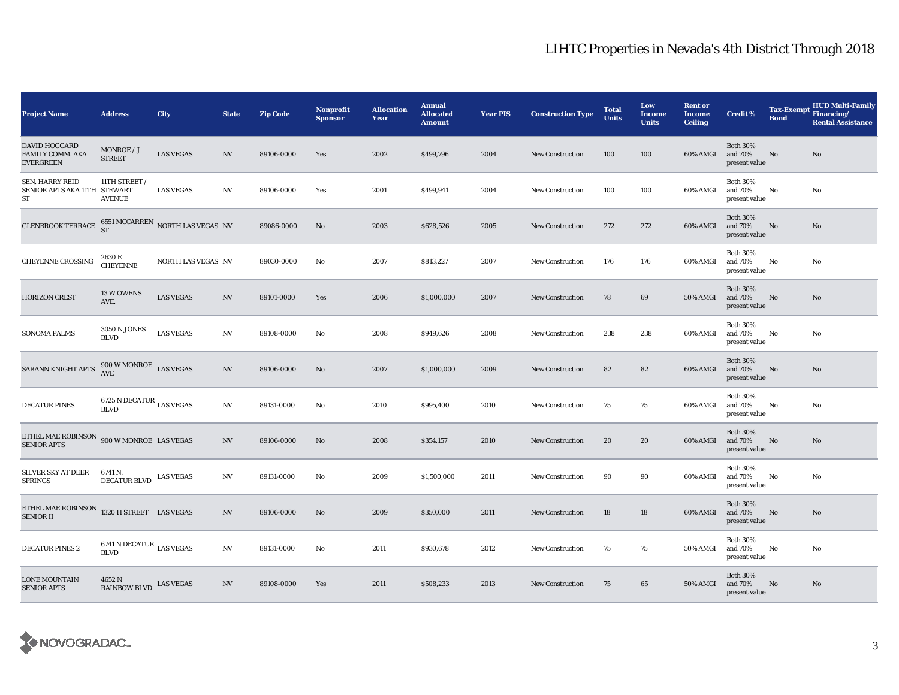| <b>Project Name</b>                                                  | <b>Address</b>                                                                                            | City               | <b>State</b>             | <b>Zip Code</b> | Nonprofit<br>Sponsor | <b>Allocation</b><br>Year | <b>Annual</b><br><b>Allocated</b><br><b>Amount</b> | <b>Year PIS</b> | <b>Construction Type</b> | <b>Total</b><br><b>Units</b> | Low<br><b>Income</b><br><b>Units</b> | <b>Rent or</b><br><b>Income</b><br><b>Ceiling</b> | <b>Credit %</b>                             | <b>Tax-Exempt</b><br><b>Bond</b> | <b>HUD Multi-Family</b><br>Financing/<br><b>Rental Assistance</b> |
|----------------------------------------------------------------------|-----------------------------------------------------------------------------------------------------------|--------------------|--------------------------|-----------------|----------------------|---------------------------|----------------------------------------------------|-----------------|--------------------------|------------------------------|--------------------------------------|---------------------------------------------------|---------------------------------------------|----------------------------------|-------------------------------------------------------------------|
| <b>DAVID HOGGARD</b><br>FAMILY COMM. AKA<br><b>EVERGREEN</b>         | MONROE / J<br><b>STREET</b>                                                                               | <b>LAS VEGAS</b>   | NV                       | 89106-0000      | Yes                  | 2002                      | \$499,796                                          | 2004            | <b>New Construction</b>  | 100                          | 100                                  | 60% AMGI                                          | <b>Both 30%</b><br>and 70%<br>present value | No                               | No                                                                |
| SEN. HARRY REID<br>SENIOR APTS AKA 11TH STEWART<br>ST                | 11TH STREET /<br><b>AVENUE</b>                                                                            | <b>LAS VEGAS</b>   | NV                       | 89106-0000      | Yes                  | 2001                      | \$499,941                                          | 2004            | <b>New Construction</b>  | 100                          | 100                                  | 60% AMGI                                          | <b>Both 30%</b><br>and 70%<br>present value | No                               | No                                                                |
| GLENBROOK TERRACE $^{6551 \text{ MCCARREN}}_{ST}$ NORTH LAS VEGAS NV |                                                                                                           |                    |                          | 89086-0000      | No                   | 2003                      | \$628,526                                          | 2005            | <b>New Construction</b>  | 272                          | 272                                  | 60% AMGI                                          | <b>Both 30%</b><br>and 70%<br>present value | No                               | No                                                                |
| <b>CHEYENNE CROSSING</b>                                             | 2630 E<br><b>CHEYENNE</b>                                                                                 | NORTH LAS VEGAS NV |                          | 89030-0000      | No                   | 2007                      | \$813,227                                          | 2007            | <b>New Construction</b>  | 176                          | 176                                  | 60% AMGI                                          | <b>Both 30%</b><br>and 70%<br>present value | No                               | No                                                                |
| <b>HORIZON CREST</b>                                                 | 13 W OWENS<br>AVE.                                                                                        | <b>LAS VEGAS</b>   | $\ensuremath{\text{NV}}$ | 89101-0000      | Yes                  | 2006                      | \$1,000,000                                        | 2007            | <b>New Construction</b>  | 78                           | 69                                   | 50% AMGI                                          | <b>Both 30%</b><br>and 70%<br>present value | No                               | No                                                                |
| <b>SONOMA PALMS</b>                                                  | <b>3050 N JONES</b><br><b>BLVD</b>                                                                        | <b>LAS VEGAS</b>   | N V                      | 89108-0000      | No                   | 2008                      | \$949,626                                          | 2008            | <b>New Construction</b>  | 238                          | 238                                  | 60% AMGI                                          | <b>Both 30%</b><br>and 70%<br>present value | No                               | No                                                                |
| SARANN KNIGHT APTS                                                   | $900\,\rm{W}$ MONROE $\,$ LAS VEGAS AVE                                                                   |                    | N V                      | 89106-0000      | No                   | 2007                      | \$1,000,000                                        | 2009            | <b>New Construction</b>  | 82                           | 82                                   | 60% AMGI                                          | <b>Both 30%</b><br>and 70%<br>present value | No                               | No                                                                |
| <b>DECATUR PINES</b>                                                 | $6725$ N DECATUR $_{\rm LAS}$ VEGAS<br><b>BLVD</b>                                                        |                    | NV                       | 89131-0000      | No                   | 2010                      | \$995,400                                          | 2010            | New Construction         | 75                           | 75                                   | 60% AMGI                                          | <b>Both 30%</b><br>and 70%<br>present value | No                               | No                                                                |
| ETHEL MAE ROBINSON 900 W MONROE LAS VEGAS<br><b>SENIOR APTS</b>      |                                                                                                           |                    | $\ensuremath{\text{NV}}$ | 89106-0000      | No                   | 2008                      | \$354,157                                          | 2010            | <b>New Construction</b>  | 20                           | 20                                   | 60% AMGI                                          | <b>Both 30%</b><br>and 70%<br>present value | No                               | No                                                                |
| <b>SILVER SKY AT DEER</b><br><b>SPRINGS</b>                          | 6741 N.<br>$\begin{matrix} \text{DECATUR BLVD} \end{matrix} \begin{matrix} \text{LAS VEGAS} \end{matrix}$ |                    | N <sub>V</sub>           | 89131-0000      | No                   | 2009                      | \$1,500,000                                        | 2011            | <b>New Construction</b>  | 90                           | 90                                   | 60% AMGI                                          | <b>Both 30%</b><br>and 70%<br>present value | No                               | No                                                                |
| ETHEL MAE ROBINSON $1320$ H STREET LAS VEGAS<br><b>SENIOR II</b>     |                                                                                                           |                    | $\ensuremath{\text{NV}}$ | 89106-0000      | No                   | 2009                      | \$350,000                                          | 2011            | <b>New Construction</b>  | 18                           | 18                                   | 60% AMGI                                          | <b>Both 30%</b><br>and 70%<br>present value | No                               | No                                                                |
| <b>DECATUR PINES 2</b>                                               | $6741\,\mathrm{N}\,\mathrm{DECATUR}$ LAS VEGAS<br><b>BLVD</b>                                             |                    | NV                       | 89131-0000      | No                   | 2011                      | \$930,678                                          | 2012            | <b>New Construction</b>  | 75                           | 75                                   | <b>50% AMGI</b>                                   | <b>Both 30%</b><br>and 70%<br>present value | No                               | No                                                                |
| <b>LONE MOUNTAIN</b><br><b>SENIOR APTS</b>                           | 4652 N<br><b>RAINBOW BLVD</b>                                                                             | <b>LAS VEGAS</b>   | $_{\mathrm{NV}}$         | 89108-0000      | Yes                  | 2011                      | \$508,233                                          | 2013            | <b>New Construction</b>  | 75                           | 65                                   | 50% AMGI                                          | <b>Both 30%</b><br>and 70%<br>present value | No                               | No                                                                |

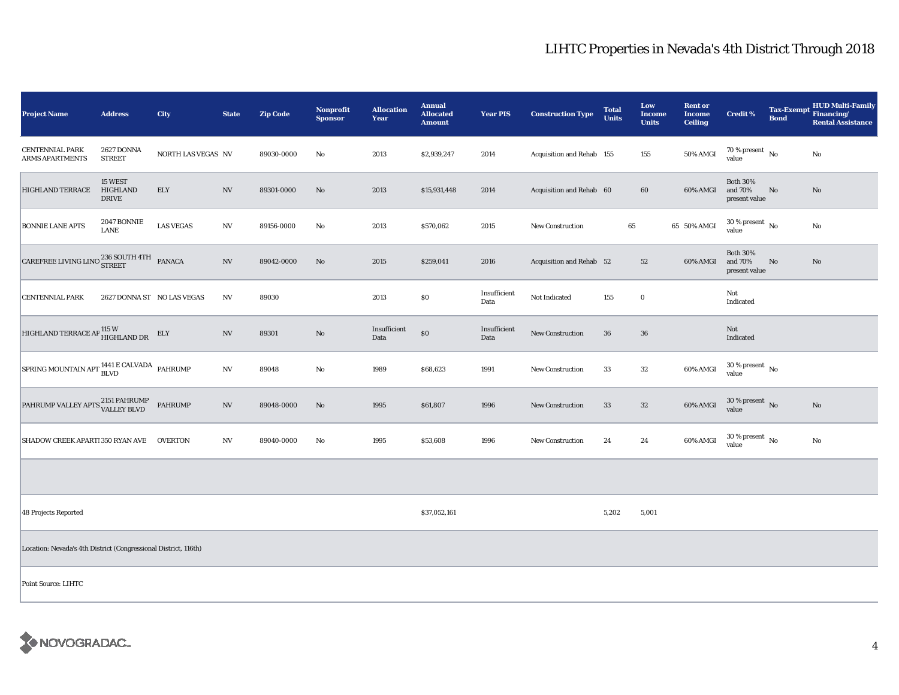| <b>Project Name</b>                                                                                                                                       | <b>Address</b>                      | <b>City</b>        | <b>State</b>             | <b>Zip Code</b> | <b>Nonprofit</b><br><b>Sponsor</b> | <b>Allocation</b><br>Year | <b>Annual</b><br><b>Allocated</b><br><b>Amount</b> | <b>Year PIS</b>      | <b>Construction Type</b>  | <b>Total</b><br><b>Units</b> | Low<br><b>Income</b><br><b>Units</b> | <b>Rent or</b><br><b>Income</b><br><b>Ceiling</b> | <b>Credit %</b>                             | <b>Bond</b> | <b>HUD Multi-Family</b><br>Tax-Exempt Financing/<br><b>Rental Assistance</b> |
|-----------------------------------------------------------------------------------------------------------------------------------------------------------|-------------------------------------|--------------------|--------------------------|-----------------|------------------------------------|---------------------------|----------------------------------------------------|----------------------|---------------------------|------------------------------|--------------------------------------|---------------------------------------------------|---------------------------------------------|-------------|------------------------------------------------------------------------------|
| <b>CENTENNIAL PARK</b><br><b>ARMS APARTMENTS</b>                                                                                                          | <b>2627 DONNA</b><br><b>STREET</b>  | NORTH LAS VEGAS NV |                          | 89030-0000      | No                                 | 2013                      | \$2,939,247                                        | 2014                 | Acquisition and Rehab 155 |                              | 155                                  | <b>50% AMGI</b>                                   | $70$ % present $\,$ No $\,$<br>value        |             | No                                                                           |
| <b>HIGHLAND TERRACE</b>                                                                                                                                   | 15 WEST<br>HIGHLAND<br><b>DRIVE</b> | <b>ELY</b>         | $_{\mathrm{NV}}$         | 89301-0000      | $\mathbf{N}\mathbf{o}$             | 2013                      | \$15,931,448                                       | 2014                 | Acquisition and Rehab 60  |                              | 60                                   | 60% AMGI                                          | <b>Both 30%</b><br>and 70%<br>present value | No          | No                                                                           |
| <b>BONNIE LANE APTS</b>                                                                                                                                   | 2047 BONNIE<br>LANE                 | <b>LAS VEGAS</b>   | $_{\mathrm{NV}}$         | 89156-0000      | No                                 | 2013                      | \$570,062                                          | 2015                 | <b>New Construction</b>   | 65                           |                                      | 65 50% AMGI                                       | $30$ % present $\,$ No $\,$<br>value        |             | No                                                                           |
| $\begin{tabular}{ c c c c } \hline \texttt{CAREFREE LIVING LINC} \end{tabular} \begin{tabular}{c} 236 \texttt{SOUTH 4TH} & \texttt{PANACA} \end{tabular}$ |                                     |                    | $_{\mathrm{NV}}$         | 89042-0000      | $\mathbf{N}\mathbf{o}$             | 2015                      | \$259,041                                          | 2016                 | Acquisition and Rehab 52  |                              | 52                                   | 60% AMGI                                          | <b>Both 30%</b><br>and 70%<br>present value | No          | No                                                                           |
| <b>CENTENNIAL PARK</b>                                                                                                                                    | 2627 DONNA ST NO LAS VEGAS          |                    | $\ensuremath{\text{NV}}$ | 89030           |                                    | 2013                      | \$0                                                | Insufficient<br>Data | Not Indicated             | 155                          | $\mathbf 0$                          |                                                   | Not<br>Indicated                            |             |                                                                              |
| HIGHLAND TERRACE AP $_{\rm HIGHLAND\, DR}^{115\ {\rm W}}$                                                                                                 |                                     | ELY                | $_{\mathrm{NV}}$         | 89301           | $\rm No$                           | Insufficient<br>Data      | $\$0$                                              | Insufficient<br>Data | New Construction          | 36                           | 36                                   |                                                   | Not<br>Indicated                            |             |                                                                              |
| SPRING MOUNTAIN APT <sup>1441</sup> E CALVADA PAHRUMP                                                                                                     |                                     |                    | NV                       | 89048           | No                                 | 1989                      | \$68,623                                           | 1991                 | New Construction          | 33                           | 32                                   | 60% AMGI                                          | $30$ % present $\,$ No $\,$<br>value        |             |                                                                              |
| PAHRUMP VALLEY APTS 2151 PAHRUMP<br>VALLEY BLVD                                                                                                           |                                     | <b>PAHRUMP</b>     | $\ensuremath{\text{NV}}$ | 89048-0000      | $\mathbf{N}\mathbf{o}$             | 1995                      | \$61,807                                           | 1996                 | New Construction          | 33                           | $32\,$                               | 60% AMGI                                          | $30\,\%$ present $\,$ No value              |             | $\mathbf{No}$                                                                |
| SHADOW CREEK APART! 350 RYAN AVE                                                                                                                          |                                     | <b>OVERTON</b>     | NV                       | 89040-0000      | No                                 | 1995                      | \$53,608                                           | 1996                 | New Construction          | 24                           | 24                                   | 60% AMGI                                          | $30$ % present $\,$ No $\,$<br>value        |             | No                                                                           |
|                                                                                                                                                           |                                     |                    |                          |                 |                                    |                           |                                                    |                      |                           |                              |                                      |                                                   |                                             |             |                                                                              |
| <b>48 Projects Reported</b>                                                                                                                               |                                     |                    |                          |                 |                                    |                           | \$37,052,161                                       |                      |                           | 5,202                        | 5,001                                |                                                   |                                             |             |                                                                              |
| Location: Nevada's 4th District (Congressional District, 116th)                                                                                           |                                     |                    |                          |                 |                                    |                           |                                                    |                      |                           |                              |                                      |                                                   |                                             |             |                                                                              |
| Point Source: LIHTC                                                                                                                                       |                                     |                    |                          |                 |                                    |                           |                                                    |                      |                           |                              |                                      |                                                   |                                             |             |                                                                              |